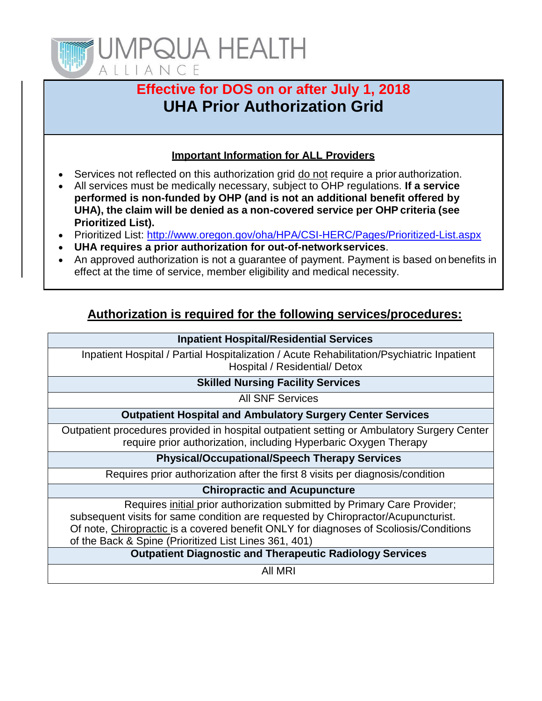

# **Effective for DOS on or after July 1, 2018 UHA Prior Authorization Grid**

## **Important Information for ALL Providers**

- Services not reflected on this authorization grid do not require a prior authorization.
- All services must be medically necessary, subject to OHP regulations. **If a service performed is non-funded by OHP (and is not an additional benefit offered by UHA), the claim will be denied as a non-covered service per OHP criteria (see Prioritized List).**
- Prioritized List:<http://www.oregon.gov/oha/HPA/CSI-HERC/Pages/Prioritized-List.aspx>
- **UHA requires a prior authorization for out-of-networkservices**.
- An approved authorization is not a quarantee of payment. Payment is based on benefits in effect at the time of service, member eligibility and medical necessity.

# **Authorization is required for the following services/procedures:**

#### **Inpatient Hospital/Residential Services**

Inpatient Hospital / Partial Hospitalization / Acute Rehabilitation/Psychiatric Inpatient Hospital / Residential/ Detox

#### **Skilled Nursing Facility Services**

All SNF Services

#### **Outpatient Hospital and Ambulatory Surgery Center Services**

Outpatient procedures provided in hospital outpatient setting or Ambulatory Surgery Center require prior authorization, including Hyperbaric Oxygen Therapy

#### **Physical/Occupational/Speech Therapy Services**

Requires prior authorization after the first 8 visits per diagnosis/condition

### **Chiropractic and Acupuncture**

Requires initial prior authorization submitted by Primary Care Provider; subsequent visits for same condition are requested by Chiropractor/Acupuncturist. Of note, Chiropractic is a covered benefit ONLY for diagnoses of Scoliosis/Conditions of the Back & Spine (Prioritized List Lines 361, 401)

## **Outpatient Diagnostic and Therapeutic Radiology Services**

All MRI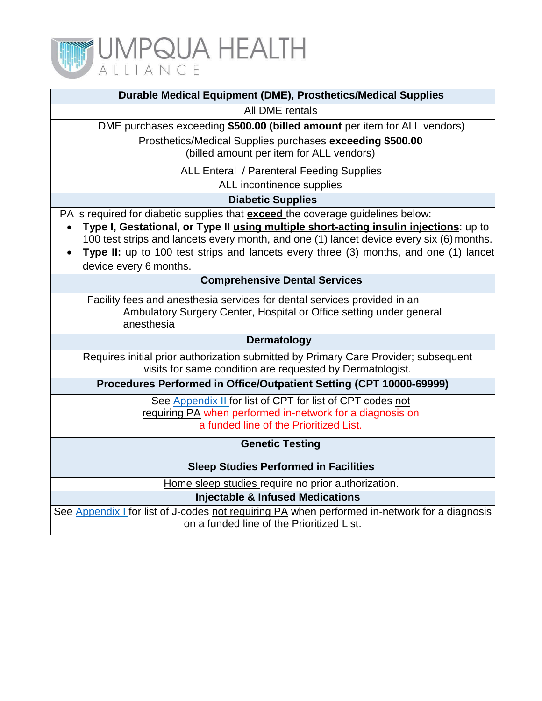

|  | Durable Medical Equipment (DME), Prosthetics/Medical Supplies |  |
|--|---------------------------------------------------------------|--|
|  |                                                               |  |

All DME rentals

DME purchases exceeding **\$500.00 (billed amount** per item for ALL vendors)

Prosthetics/Medical Supplies purchases **exceeding \$500.00** (billed amount per item for ALL vendors)

ALL Enteral / Parenteral Feeding Supplies

ALL incontinence supplies

**Diabetic Supplies**

PA is required for diabetic supplies that **exceed** the coverage guidelines below:

- **Type I, Gestational, or Type II using multiple short-acting insulin injections**: up to 100 test strips and lancets every month, and one (1) lancet device every six (6) months.
- **Type II:** up to 100 test strips and lancets every three (3) months, and one (1) lancet device every 6 months.

#### **Comprehensive Dental Services**

Facility fees and anesthesia services for dental services provided in an Ambulatory Surgery Center, Hospital or Office setting under general anesthesia

#### **Dermatology**

Requires initial prior authorization submitted by Primary Care Provider; subsequent visits for same condition are requested by Dermatologist.

**Procedures Performed in Office/Outpatient Setting (CPT 10000-69999)**

See [Appendix](#page-3-0) II for list of CPT for list of CPT codes not requiring PA when performed in-network for a diagnosis on a funded line of the Prioritized List.

**Genetic Testing**

**Sleep Studies Performed in Facilities**

Home sleep studies require no prior authorization.

**Injectable & Infused Medications**

See [Appendix](#page-2-0) I for list of J-codes not requiring PA when performed in-network for a diagnosis on a funded line of the Prioritized List.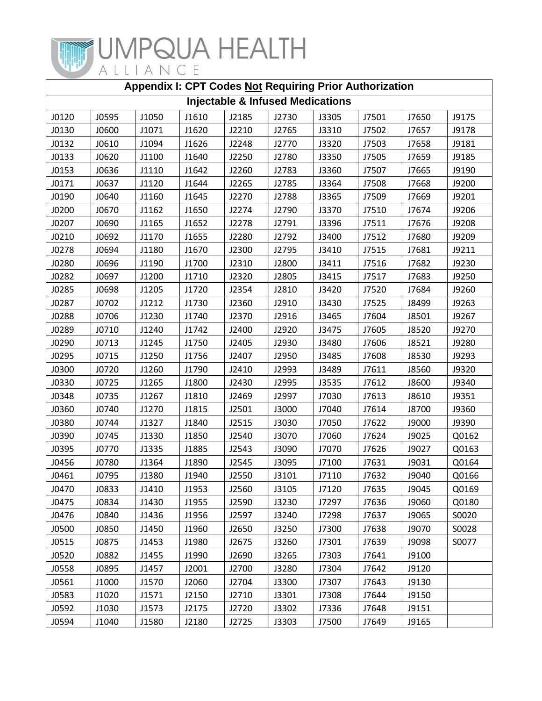

<span id="page-2-0"></span>

| Appendix I: CPT Codes Not Requiring Prior Authorization |       |       |       |       |       |       |       |       |       |
|---------------------------------------------------------|-------|-------|-------|-------|-------|-------|-------|-------|-------|
| <b>Injectable &amp; Infused Medications</b>             |       |       |       |       |       |       |       |       |       |
| J0120                                                   | J0595 | J1050 | J1610 | J2185 | J2730 | J3305 | J7501 | J7650 | J9175 |
| J0130                                                   | J0600 | J1071 | J1620 | J2210 | J2765 | J3310 | J7502 | J7657 | J9178 |
| J0132                                                   | J0610 | J1094 | J1626 | J2248 | J2770 | J3320 | J7503 | J7658 | J9181 |
| J0133                                                   | J0620 | J1100 | J1640 | J2250 | J2780 | J3350 | J7505 | J7659 | J9185 |
| J0153                                                   | J0636 | J1110 | J1642 | J2260 | J2783 | J3360 | J7507 | J7665 | J9190 |
| J0171                                                   | J0637 | J1120 | J1644 | J2265 | J2785 | J3364 | J7508 | J7668 | J9200 |
| J0190                                                   | J0640 | J1160 | J1645 | J2270 | J2788 | J3365 | J7509 | J7669 | J9201 |
| J0200                                                   | J0670 | J1162 | J1650 | J2274 | J2790 | J3370 | J7510 | J7674 | J9206 |
| J0207                                                   | J0690 | J1165 | J1652 | J2278 | J2791 | J3396 | J7511 | J7676 | J9208 |
| J0210                                                   | J0692 | J1170 | J1655 | J2280 | J2792 | J3400 | J7512 | J7680 | J9209 |
| J0278                                                   | J0694 | J1180 | J1670 | J2300 | J2795 | J3410 | J7515 | J7681 | J9211 |
| J0280                                                   | J0696 | J1190 | J1700 | J2310 | J2800 | J3411 | J7516 | J7682 | J9230 |
| J0282                                                   | J0697 | J1200 | J1710 | J2320 | J2805 | J3415 | J7517 | J7683 | J9250 |
| J0285                                                   | J0698 | J1205 | J1720 | J2354 | J2810 | J3420 | J7520 | J7684 | J9260 |
| J0287                                                   | J0702 | J1212 | J1730 | J2360 | J2910 | J3430 | J7525 | J8499 | J9263 |
| J0288                                                   | J0706 | J1230 | J1740 | J2370 | J2916 | J3465 | J7604 | J8501 | J9267 |
| J0289                                                   | J0710 | J1240 | J1742 | J2400 | J2920 | J3475 | J7605 | J8520 | J9270 |
| J0290                                                   | J0713 | J1245 | J1750 | J2405 | J2930 | J3480 | J7606 | J8521 | J9280 |
| J0295                                                   | J0715 | J1250 | J1756 | J2407 | J2950 | J3485 | J7608 | J8530 | J9293 |
| J0300                                                   | J0720 | J1260 | J1790 | J2410 | J2993 | J3489 | J7611 | J8560 | J9320 |
| J0330                                                   | J0725 | J1265 | J1800 | J2430 | J2995 | J3535 | J7612 | J8600 | J9340 |
| J0348                                                   | J0735 | J1267 | J1810 | J2469 | J2997 | J7030 | J7613 | J8610 | J9351 |
| J0360                                                   | J0740 | J1270 | J1815 | J2501 | J3000 | J7040 | J7614 | J8700 | J9360 |
| J0380                                                   | J0744 | J1327 | J1840 | J2515 | J3030 | J7050 | J7622 | J9000 | J9390 |
| J0390                                                   | J0745 | J1330 | J1850 | J2540 | J3070 | J7060 | J7624 | J9025 | Q0162 |
| J0395                                                   | J0770 | J1335 | J1885 | J2543 | J3090 | J7070 | J7626 | J9027 | Q0163 |
| J0456                                                   | J0780 | J1364 | J1890 | J2545 | J3095 | J7100 | J7631 | J9031 | Q0164 |
| J0461                                                   | J0795 | J1380 | J1940 | J2550 | J3101 | J7110 | J7632 | J9040 | Q0166 |
| J0470                                                   | J0833 | J1410 | J1953 | J2560 | J3105 | J7120 | J7635 | J9045 | Q0169 |
| J0475                                                   | J0834 | J1430 | J1955 | J2590 | J3230 | J7297 | J7636 | J9060 | Q0180 |
| J0476                                                   | J0840 | J1436 | J1956 | J2597 | J3240 | J7298 | J7637 | J9065 | S0020 |
| J0500                                                   | J0850 | J1450 | J1960 | J2650 | J3250 | J7300 | J7638 | J9070 | S0028 |
| J0515                                                   | J0875 | J1453 | J1980 | J2675 | J3260 | J7301 | J7639 | J9098 | S0077 |
| J0520                                                   | J0882 | J1455 | J1990 | J2690 | J3265 | J7303 | J7641 | J9100 |       |
| J0558                                                   | J0895 | J1457 | J2001 | J2700 | J3280 | J7304 | J7642 | J9120 |       |
| J0561                                                   | J1000 | J1570 | J2060 | J2704 | J3300 | J7307 | J7643 | J9130 |       |
| J0583                                                   | J1020 | J1571 | J2150 | J2710 | J3301 | J7308 | J7644 | J9150 |       |
| J0592                                                   | J1030 | J1573 | J2175 | J2720 | J3302 | J7336 | J7648 | J9151 |       |
| J0594                                                   | J1040 | J1580 | J2180 | J2725 | J3303 | J7500 | J7649 | J9165 |       |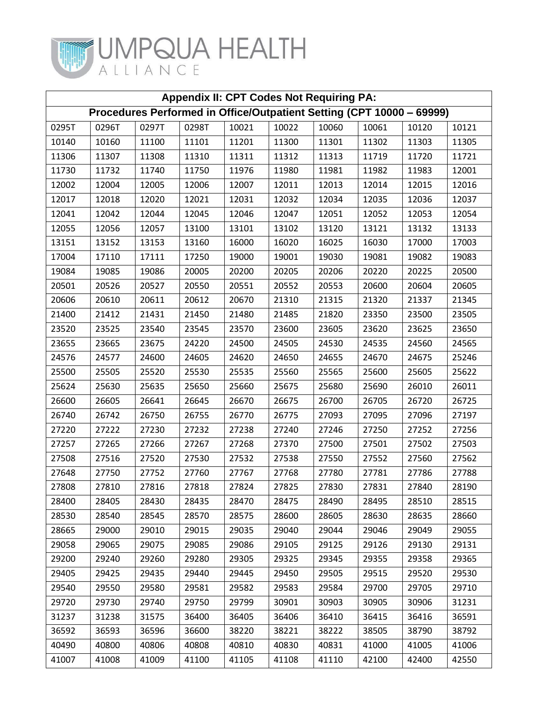

<span id="page-3-0"></span>

| <b>Appendix II: CPT Codes Not Requiring PA:</b>                       |       |       |       |       |       |       |       |       |       |
|-----------------------------------------------------------------------|-------|-------|-------|-------|-------|-------|-------|-------|-------|
| Procedures Performed in Office/Outpatient Setting (CPT 10000 - 69999) |       |       |       |       |       |       |       |       |       |
| 0295T                                                                 | 0296T | 0297T | 0298T | 10021 | 10022 | 10060 | 10061 | 10120 | 10121 |
| 10140                                                                 | 10160 | 11100 | 11101 | 11201 | 11300 | 11301 | 11302 | 11303 | 11305 |
| 11306                                                                 | 11307 | 11308 | 11310 | 11311 | 11312 | 11313 | 11719 | 11720 | 11721 |
| 11730                                                                 | 11732 | 11740 | 11750 | 11976 | 11980 | 11981 | 11982 | 11983 | 12001 |
| 12002                                                                 | 12004 | 12005 | 12006 | 12007 | 12011 | 12013 | 12014 | 12015 | 12016 |
| 12017                                                                 | 12018 | 12020 | 12021 | 12031 | 12032 | 12034 | 12035 | 12036 | 12037 |
| 12041                                                                 | 12042 | 12044 | 12045 | 12046 | 12047 | 12051 | 12052 | 12053 | 12054 |
| 12055                                                                 | 12056 | 12057 | 13100 | 13101 | 13102 | 13120 | 13121 | 13132 | 13133 |
| 13151                                                                 | 13152 | 13153 | 13160 | 16000 | 16020 | 16025 | 16030 | 17000 | 17003 |
| 17004                                                                 | 17110 | 17111 | 17250 | 19000 | 19001 | 19030 | 19081 | 19082 | 19083 |
| 19084                                                                 | 19085 | 19086 | 20005 | 20200 | 20205 | 20206 | 20220 | 20225 | 20500 |
| 20501                                                                 | 20526 | 20527 | 20550 | 20551 | 20552 | 20553 | 20600 | 20604 | 20605 |
| 20606                                                                 | 20610 | 20611 | 20612 | 20670 | 21310 | 21315 | 21320 | 21337 | 21345 |
| 21400                                                                 | 21412 | 21431 | 21450 | 21480 | 21485 | 21820 | 23350 | 23500 | 23505 |
| 23520                                                                 | 23525 | 23540 | 23545 | 23570 | 23600 | 23605 | 23620 | 23625 | 23650 |
| 23655                                                                 | 23665 | 23675 | 24220 | 24500 | 24505 | 24530 | 24535 | 24560 | 24565 |
| 24576                                                                 | 24577 | 24600 | 24605 | 24620 | 24650 | 24655 | 24670 | 24675 | 25246 |
| 25500                                                                 | 25505 | 25520 | 25530 | 25535 | 25560 | 25565 | 25600 | 25605 | 25622 |
| 25624                                                                 | 25630 | 25635 | 25650 | 25660 | 25675 | 25680 | 25690 | 26010 | 26011 |
| 26600                                                                 | 26605 | 26641 | 26645 | 26670 | 26675 | 26700 | 26705 | 26720 | 26725 |
| 26740                                                                 | 26742 | 26750 | 26755 | 26770 | 26775 | 27093 | 27095 | 27096 | 27197 |
| 27220                                                                 | 27222 | 27230 | 27232 | 27238 | 27240 | 27246 | 27250 | 27252 | 27256 |
| 27257                                                                 | 27265 | 27266 | 27267 | 27268 | 27370 | 27500 | 27501 | 27502 | 27503 |
| 27508                                                                 | 27516 | 27520 | 27530 | 27532 | 27538 | 27550 | 27552 | 27560 | 27562 |
| 27648                                                                 | 27750 | 27752 | 27760 | 27767 | 27768 | 27780 | 27781 | 27786 | 27788 |
| 27808                                                                 | 27810 | 27816 | 27818 | 27824 | 27825 | 27830 | 27831 | 27840 | 28190 |
| 28400                                                                 | 28405 | 28430 | 28435 | 28470 | 28475 | 28490 | 28495 | 28510 | 28515 |
| 28530                                                                 | 28540 | 28545 | 28570 | 28575 | 28600 | 28605 | 28630 | 28635 | 28660 |
| 28665                                                                 | 29000 | 29010 | 29015 | 29035 | 29040 | 29044 | 29046 | 29049 | 29055 |
| 29058                                                                 | 29065 | 29075 | 29085 | 29086 | 29105 | 29125 | 29126 | 29130 | 29131 |
| 29200                                                                 | 29240 | 29260 | 29280 | 29305 | 29325 | 29345 | 29355 | 29358 | 29365 |
| 29405                                                                 | 29425 | 29435 | 29440 | 29445 | 29450 | 29505 | 29515 | 29520 | 29530 |
| 29540                                                                 | 29550 | 29580 | 29581 | 29582 | 29583 | 29584 | 29700 | 29705 | 29710 |
| 29720                                                                 | 29730 | 29740 | 29750 | 29799 | 30901 | 30903 | 30905 | 30906 | 31231 |
| 31237                                                                 | 31238 | 31575 | 36400 | 36405 | 36406 | 36410 | 36415 | 36416 | 36591 |
| 36592                                                                 | 36593 | 36596 | 36600 | 38220 | 38221 | 38222 | 38505 | 38790 | 38792 |
| 40490                                                                 | 40800 | 40806 | 40808 | 40810 | 40830 | 40831 | 41000 | 41005 | 41006 |
| 41007                                                                 | 41008 | 41009 | 41100 | 41105 | 41108 | 41110 | 42100 | 42400 | 42550 |